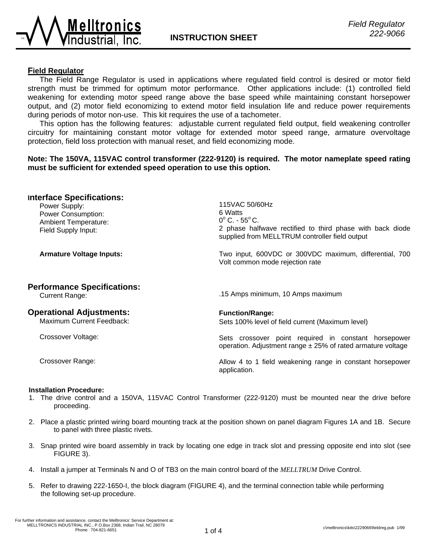

### **Field Regulator**

 The Field Range Regulator is used in applications where regulated field control is desired or motor field strength must be trimmed for optimum motor performance. Other applications include: (1) controlled field weakening for extending motor speed range above the base speed while maintaining constant horsepower output, and (2) motor field economizing to extend motor field insulation life and reduce power requirements during periods of motor non-use. This kit requires the use of a tachometer.

 This option has the following features: adjustable current regulated field output, field weakening controller circuitry for maintaining constant motor voltage for extended motor speed range, armature overvoltage protection, field loss protection with manual reset, and field economizing mode.

## **Note: The 150VA, 115VAC control transformer (222-9120) is required. The motor nameplate speed rating must be sufficient for extended speed operation to use this option.**

| <b>Interface Specifications:</b><br>Power Supply:<br>Power Consumption:<br><b>Ambient Temperature:</b><br>Field Supply Input: | 115VAC 50/60Hz<br>6 Watts<br>$0^{\circ}$ C. - 55 $^{\circ}$ C.<br>2 phase halfwave rectified to third phase with back diode<br>supplied from MELLTRUM controller field output |
|-------------------------------------------------------------------------------------------------------------------------------|-------------------------------------------------------------------------------------------------------------------------------------------------------------------------------|
| <b>Armature Voltage Inputs:</b>                                                                                               | Two input, 600VDC or 300VDC maximum, differential, 700<br>Volt common mode rejection rate                                                                                     |
| <b>Performance Specifications:</b><br><b>Current Range:</b>                                                                   | .15 Amps minimum, 10 Amps maximum                                                                                                                                             |
| <b>Operational Adjustments:</b><br><b>Maximum Current Feedback:</b>                                                           | <b>Function/Range:</b><br>Sets 100% level of field current (Maximum level)                                                                                                    |
| Crossover Voltage:                                                                                                            | Sets crossover point required in constant horsepower<br>operation. Adjustment range $\pm$ 25% of rated armature voltage                                                       |
| Crossover Range:                                                                                                              | Allow 4 to 1 field weakening range in constant horsepower<br>application.                                                                                                     |

#### **Installation Procedure:**

- 1. The drive control and a 150VA, 115VAC Control Transformer (222-9120) must be mounted near the drive before proceeding.
- 2. Place a plastic printed wiring board mounting track at the position shown on panel diagram Figures 1A and 1B. Secure to panel with three plastic rivets.
- 3. Snap printed wire board assembly in track by locating one edge in track slot and pressing opposite end into slot (see FIGURE 3).
- 4. Install a jumper at Terminals N and O of TB3 on the main control board of the *MELLTRUM* Drive Control.
- 5. Refer to drawing 222-1650-I, the block diagram (FIGURE 4), and the terminal connection table while performing the following set-up procedure.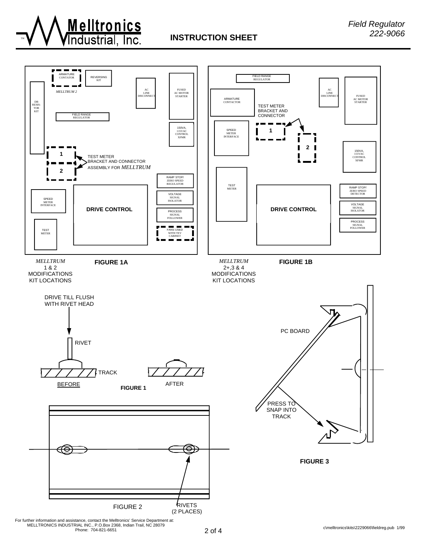

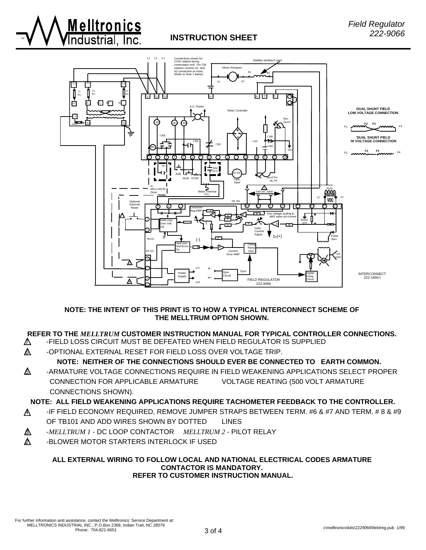



### **NOTE: THE INTENT OF THIS PRINT IS TO HOW A TYPICAL INTERCONNECT SCHEME OF THE MELLTRUM OPTION SHOWN.**

## **REFER TO THE** *MELLTRUM* **CUSTOMER INSTRUCTION MANUAL FOR TYPICAL CONTROLLER CONNECTIONS.**

- $\mathbb{\Delta}$  -FIELD LOSS CIRCUIT MUST BE DEFEATED WHEN FIELD REGULATOR IS SUPPLIED
- $\mathbb A$  -OPTIONAL EXTERNAL RESET FOR FIELD LOSS OVER VOLTAGE TRIP.

# **NOTE: NEITHER OF THE CONNECTIONS SHOULD EVER BE CONNECTED TO EARTH COMMON.**

 $\mathbb{\Delta}$  -ARMATURE VOLTAGE CONNECTIONS REQUIRE IN FIELD WEAKENING APPLICATIONS SELECT PROPER CONNECTION FOR APPLICABLE ARMATURE VOLTAGE REATING (500 VOLT ARMATURE CONNECTIONS SHOWN).

**NOTE: ALL FIELD WEAKENING APPLICATIONS REQUIRE TACHOMETER FEEDBACK TO THE CONTROLLER.**

- 4 -IF FIELD ECONOMY REQUIRED, REMOVE JUMPER STRAPS BETWEEN TERM. #6 & #7 AND TERM. # 8 & #9 OF TB101 AND ADD WIRES SHOWN BY DOTTED LINES
- 3 -*MELLTRUM 1* DC LOOP CONTACTOR *MELLTRUM 2* PILOT RELAY
- $\mathbb A$  -BLOWER MOTOR STARTERS INTERLOCK IF USED

**Melltronics** 

#### **ALL EXTERNAL WIRING TO FOLLOW LOCAL AND NATIONAL ELECTRICAL CODES ARMATURE CONTACTOR IS MANDATORY. REFER TO CUSTOMER INSTRUCTION MANUAL.**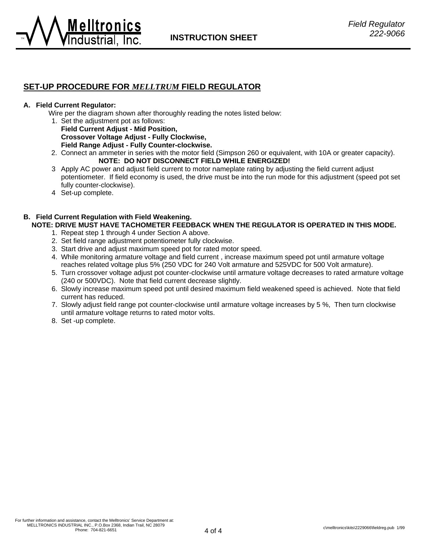

## **SET-UP PROCEDURE FOR** *MELLTRUM* **FIELD REGULATOR**

#### **A. Field Current Regulator:**

Melltroni

Wire per the diagram shown after thoroughly reading the notes listed below:

- 1. Set the adjustment pot as follows: **Field Current Adjust - Mid Position,** 
	- **Crossover Voltage Adjust Fully Clockwise, Field Range Adjust - Fully Counter-clockwise.**
- 2. Connect an ammeter in series with the motor field (Simpson 260 or equivalent, with 10A or greater capacity). **NOTE: DO NOT DISCONNECT FIELD WHILE ENERGIZED!**
- 3 Apply AC power and adjust field current to motor nameplate rating by adjusting the field current adjust potentiometer. If field economy is used, the drive must be into the run mode for this adjustment (speed pot set fully counter-clockwise).
- 4 Set-up complete.

### **B. Field Current Regulation with Field Weakening.**

## **NOTE: DRIVE MUST HAVE TACHOMETER FEEDBACK WHEN THE REGULATOR IS OPERATED IN THIS MODE.**

- 1. Repeat step 1 through 4 under Section A above.
- 2. Set field range adjustment potentiometer fully clockwise.
- 3. Start drive and adjust maximum speed pot for rated motor speed.
- 4. While monitoring armature voltage and field current , increase maximum speed pot until armature voltage reaches related voltage plus 5% (250 VDC for 240 Volt armature and 525VDC for 500 Volt armature).
- 5. Turn crossover voltage adjust pot counter-clockwise until armature voltage decreases to rated armature voltage (240 or 500VDC). Note that field current decrease slightly.
- 6. Slowly increase maximum speed pot until desired maximum field weakened speed is achieved. Note that field current has reduced.
- 7. Slowly adjust field range pot counter-clockwise until armature voltage increases by 5 %, Then turn clockwise until armature voltage returns to rated motor volts.
- 8. Set -up complete.